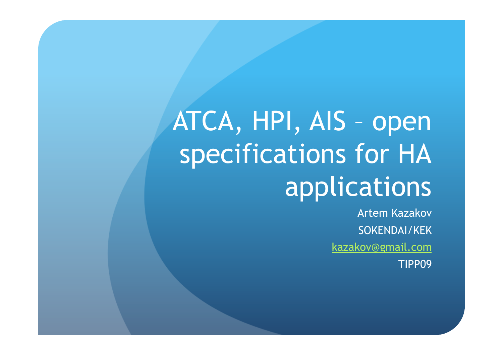# ATCA, HPI, AIS – open specifications for HA **applications**

Artem Kazakov SOKENDAI/KEK kazakov@gmail.com TIPP09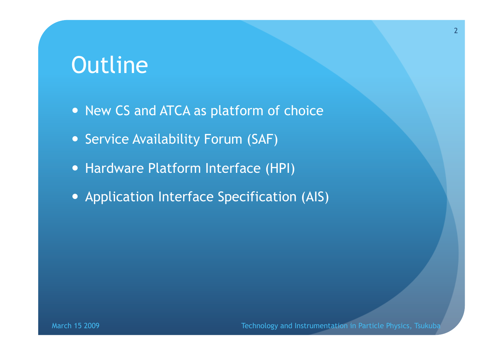#### **Outline**

- New CS and ATCA as platform of choice
- Service Availability Forum (SAF)
- Hardware Platform Interface (HPI)
- Application Interface Specification (AIS)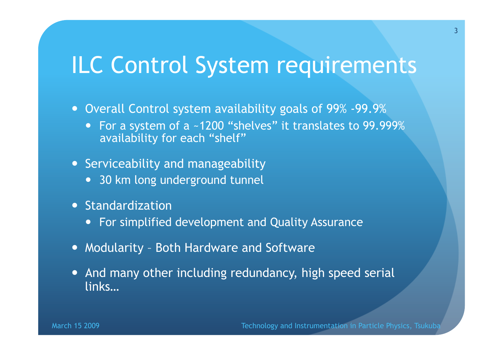### ILC Control System requirements

- Overall Control system availability goals of 99% -99.9%
	- For a system of a ~1200 "shelves" it translates to 99.999% availability for each "shelf"
- Serviceability and manageability
	- 30 km long underground tunnel
- **Standardization** 
	- For simplified development and Quality Assurance
- Modularity Both Hardware and Software
- And many other including redundancy, high speed serial links…

March 15 2009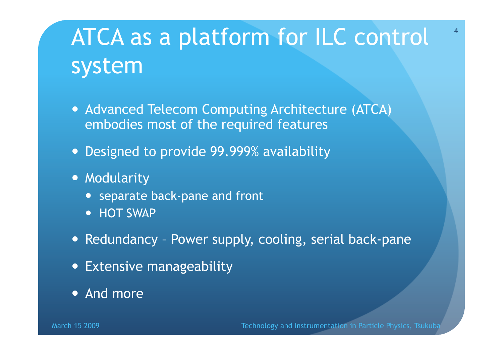### ATCA as a platform for ILC control system

- **Advanced Telecom Computing Architecture (ATCA)** embodies most of the required features
- Designed to provide 99.999% availability
- **Modularity** 
	- separate back-pane and front
	- HOT SWAP
- Redundancy Power supply, cooling, serial back-pane
- Extensive manageability
- And more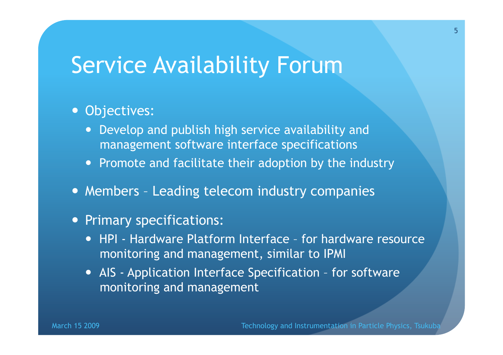#### Service Availability Forum

#### • Objectives:

- Develop and publish high service availability and management software interface specifications
- Promote and facilitate their adoption by the industry
- Members Leading telecom industry companies
- Primary specifications:
	- HPI Hardware Platform Interface for hardware resource monitoring and management, similar to IPMI
	- AIS Application Interface Specification for software monitoring and management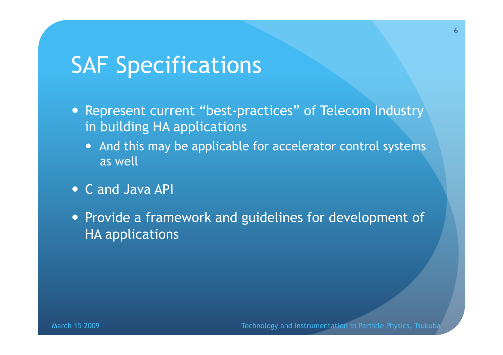### **SAF Specifications**

- Represent current "best-practices" of Telecom Industry in building HA applications
	- And this may be applicable for accelerator control systems as well
- C and Java API
- Provide a framework and guidelines for development of HA applications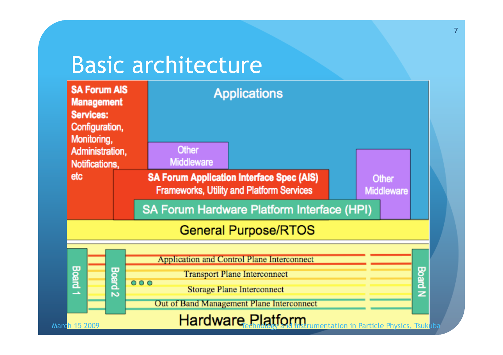#### Basic architecture

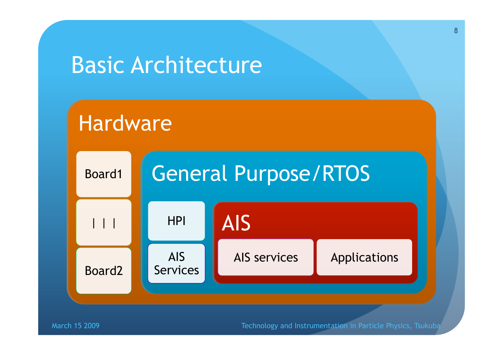#### Basic Architecture

#### Hardware



March 15 2009

Technology and Instrumentation in Particle Physics, Tsukuba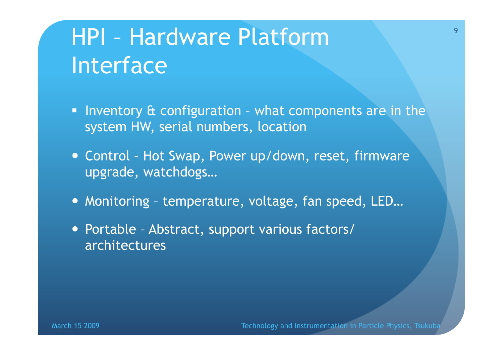### HPI – Hardware Platform Interface

- Inventory  $\alpha$  configuration what components are in the system HW, serial numbers, location
- Control Hot Swap, Power up/down, reset, firmware upgrade, watchdogs…
- Monitoring temperature, voltage, fan speed, LED...
- Portable Abstract, support various factors/ architectures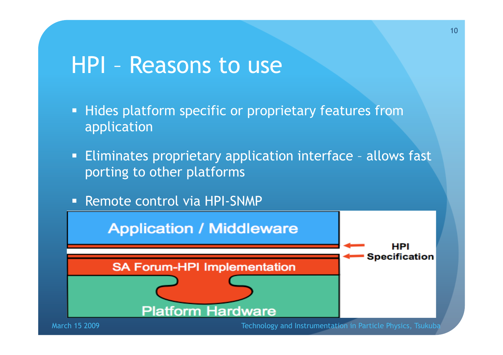#### HPI – Reasons to use

- **Hides platform specific or proprietary features from** application
- Eliminates proprietary application interface allows fast porting to other platforms
- **Remote control via HPI-SNMP**

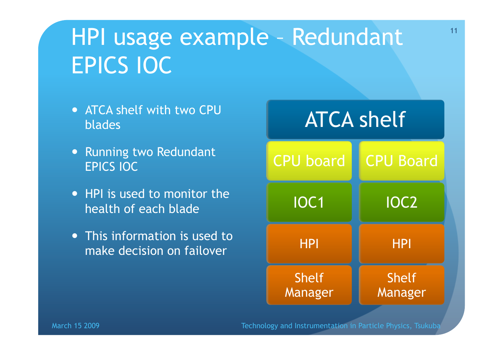### HPI usage example – Redundant EPICS IOC

- ATCA shelf with two CPU blades
- Running two Redundant EPICS IOC
- HPI is used to monitor the health of each blade
- This information is used to make decision on failover

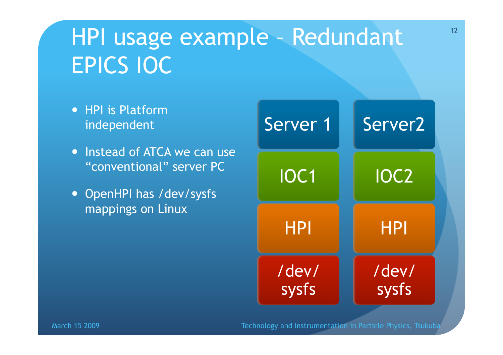### HPI usage example – Redundant EPICS IOC

- HPI is Platform independent
- . Instead of ATCA we can use "conventional" server PC
- OpenHPI has /dev/sysfs mappings on Linux

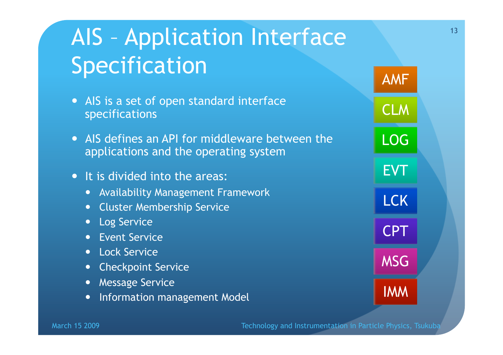## AIS – Application Interface Specification

- AIS is a set of open standard interface specifications
- AIS defines an API for middleware between the applications and the operating system
- It is divided into the areas:
	- Availability Management Framework
	- Cluster Membership Service
	- **•** Log Service
	- **Event Service**
	- Lock Service
	- Checkpoint Service
	- **•** Message Service
	- Information management Model

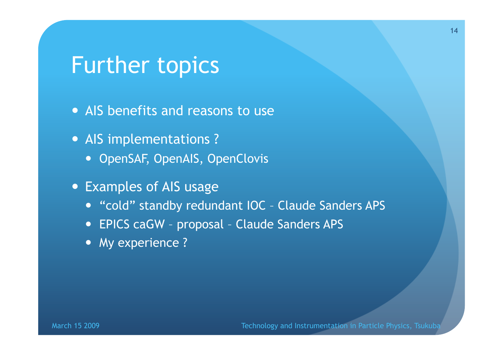#### Further topics

- AIS benefits and reasons to use
- AIS implementations ?
	- OpenSAF, OpenAIS, OpenClovis
- Examples of AIS usage
	- "cold" standby redundant IOC Claude Sanders APS
	- EPICS caGW proposal Claude Sanders APS
	- My experience ?

March 15 2009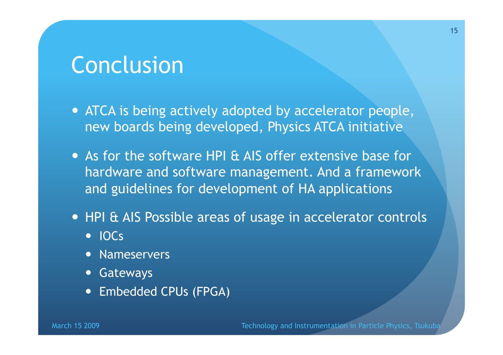#### Conclusion

- ATCA is being actively adopted by accelerator people, new boards being developed, Physics ATCA initiative
- As for the software HPI & AIS offer extensive base for hardware and software management. And a framework and guidelines for development of HA applications
- HPI & AIS Possible areas of usage in accelerator controls
	- IOCs
	- Nameservers
	- Gateways
	- Embedded CPUs (FPGA)